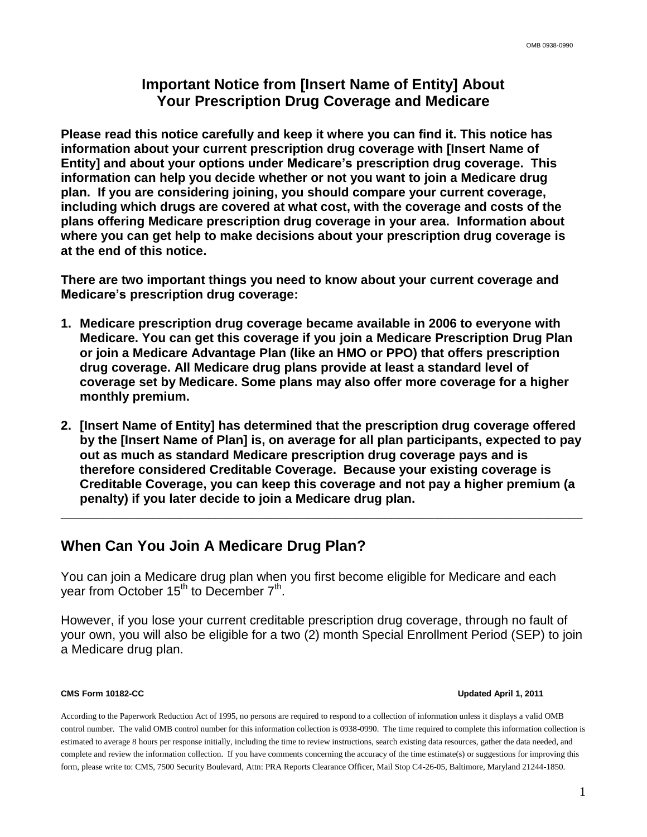#### **Important Notice from [Insert Name of Entity] About Your Prescription Drug Coverage and Medicare**

**Please read this notice carefully and keep it where you can find it. This notice has information about your current prescription drug coverage with [Insert Name of Entity] and about your options under Medicare's prescription drug coverage. This information can help you decide whether or not you want to join a Medicare drug plan. If you are considering joining, you should compare your current coverage, including which drugs are covered at what cost, with the coverage and costs of the plans offering Medicare prescription drug coverage in your area. Information about where you can get help to make decisions about your prescription drug coverage is at the end of this notice.** 

**There are two important things you need to know about your current coverage and Medicare's prescription drug coverage:** 

- **1. Medicare prescription drug coverage became available in 2006 to everyone with Medicare. You can get this coverage if you join a Medicare Prescription Drug Plan or join a Medicare Advantage Plan (like an HMO or PPO) that offers prescription drug coverage. All Medicare drug plans provide at least a standard level of coverage set by Medicare. Some plans may also offer more coverage for a higher monthly premium.**
- **2. [Insert Name of Entity] has determined that the prescription drug coverage offered by the [Insert Name of Plan] is, on average for all plan participants, expected to pay out as much as standard Medicare prescription drug coverage pays and is therefore considered Creditable Coverage. Because your existing coverage is Creditable Coverage, you can keep this coverage and not pay a higher premium (a penalty) if you later decide to join a Medicare drug plan.**

**\_\_\_\_\_\_\_\_\_\_\_\_\_\_\_\_\_\_\_\_\_\_\_\_\_\_\_\_\_\_\_\_\_\_\_\_\_\_\_\_\_\_\_\_\_\_\_\_\_\_\_\_\_\_\_\_\_\_\_\_\_\_\_\_\_\_\_\_\_\_\_\_\_\_** 

# **When Can You Join A Medicare Drug Plan?**

You can join a Medicare drug plan when you first become eligible for Medicare and each year from October 15<sup>th</sup> to December  $7<sup>th</sup>$ .

However, if you lose your current creditable prescription drug coverage, through no fault of your own, you will also be eligible for a two (2) month Special Enrollment Period (SEP) to join a Medicare drug plan.

#### **CMS Form 10182-CC Updated April 1, 2011**

According to the Paperwork Reduction Act of 1995, no persons are required to respond to a collection of information unless it displays a valid OMB control number. The valid OMB control number for this information collection is 0938-0990. The time required to complete this information collection is estimated to average 8 hours per response initially, including the time to review instructions, search existing data resources, gather the data needed, and complete and review the information collection. If you have comments concerning the accuracy of the time estimate(s) or suggestions for improving this form, please write to: CMS, 7500 Security Boulevard, Attn: PRA Reports Clearance Officer, Mail Stop C4-26-05, Baltimore, Maryland 21244-1850.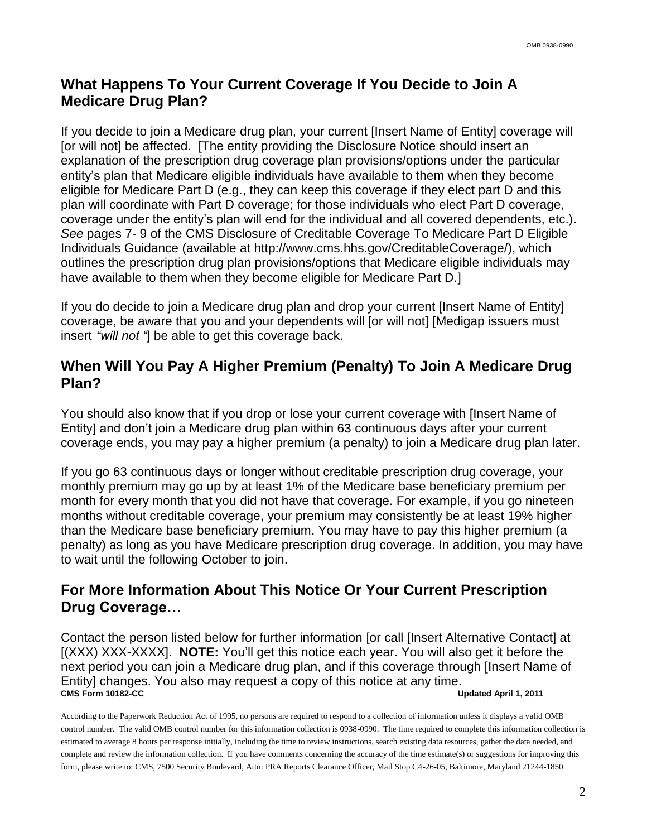# **What Happens To Your Current Coverage If You Decide to Join A Medicare Drug Plan?**

If you decide to join a Medicare drug plan, your current [Insert Name of Entity] coverage will [or will not] be affected. [The entity providing the Disclosure Notice should insert an explanation of the prescription drug coverage plan provisions/options under the particular entity's plan that Medicare eligible individuals have available to them when they become eligible for Medicare Part D (e.g., they can keep this coverage if they elect part D and this plan will coordinate with Part D coverage; for those individuals who elect Part D coverage, coverage under the entity's plan will end for the individual and all covered dependents, etc.). *See* pages 7- 9 of the CMS Disclosure of Creditable Coverage To Medicare Part D Eligible Individuals Guidance (available at http://www.cms.hhs.gov/CreditableCoverage/), which outlines the prescription drug plan provisions/options that Medicare eligible individuals may have available to them when they become eligible for Medicare Part D.]

If you do decide to join a Medicare drug plan and drop your current [Insert Name of Entity] coverage, be aware that you and your dependents will [or will not] [Medigap issuers must insert *"will not "*] be able to get this coverage back.

### **When Will You Pay A Higher Premium (Penalty) To Join A Medicare Drug Plan?**

You should also know that if you drop or lose your current coverage with [Insert Name of Entity] and don't join a Medicare drug plan within 63 continuous days after your current coverage ends, you may pay a higher premium (a penalty) to join a Medicare drug plan later.

If you go 63 continuous days or longer without creditable prescription drug coverage, your monthly premium may go up by at least 1% of the Medicare base beneficiary premium per month for every month that you did not have that coverage. For example, if you go nineteen months without creditable coverage, your premium may consistently be at least 19% higher than the Medicare base beneficiary premium. You may have to pay this higher premium (a penalty) as long as you have Medicare prescription drug coverage. In addition, you may have to wait until the following October to join.

# **For More Information About This Notice Or Your Current Prescription Drug Coverage…**

**CMS Form 10182-CC Updated April 1, 2011**  Contact the person listed below for further information [or call [Insert Alternative Contact] at [(XXX) XXX-XXXX]. **NOTE:** You'll get this notice each year. You will also get it before the next period you can join a Medicare drug plan, and if this coverage through [Insert Name of Entity] changes. You also may request a copy of this notice at any time.

According to the Paperwork Reduction Act of 1995, no persons are required to respond to a collection of information unless it displays a valid OMB control number. The valid OMB control number for this information collection is 0938-0990. The time required to complete this information collection is estimated to average 8 hours per response initially, including the time to review instructions, search existing data resources, gather the data needed, and complete and review the information collection. If you have comments concerning the accuracy of the time estimate(s) or suggestions for improving this form, please write to: CMS, 7500 Security Boulevard, Attn: PRA Reports Clearance Officer, Mail Stop C4-26-05, Baltimore, Maryland 21244-1850.